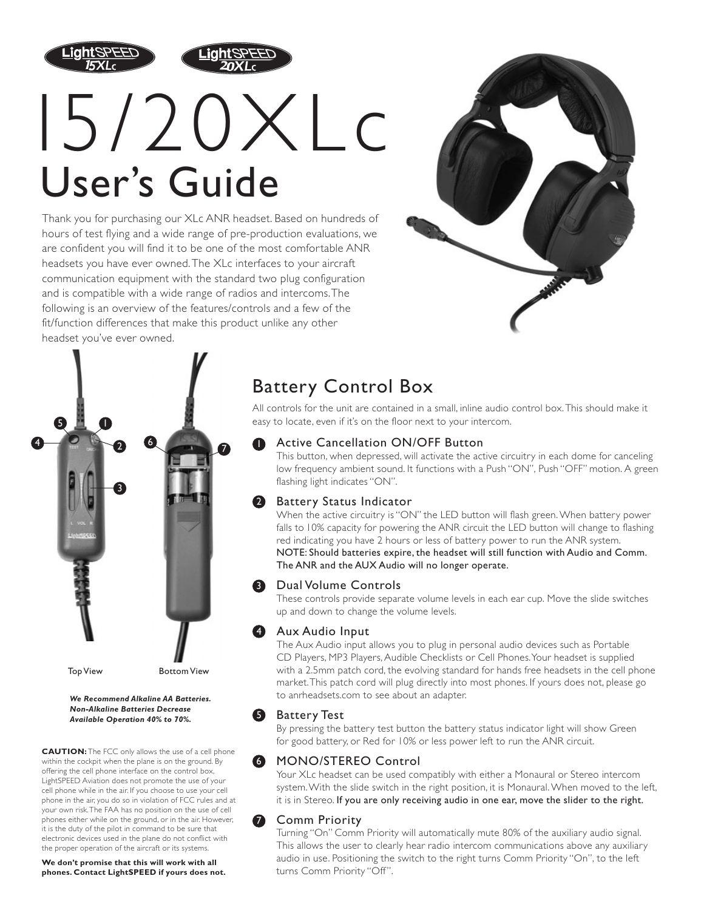



# 15/20XLc User's Guide

Thank you for purchasing our XLc ANR headset. Based on hundreds of hours of test flying and a wide range of pre-production evaluations, we are confident you will find it to be one of the most comfortable ANR headsets you have ever owned.The XLc interfaces to your aircraft communication equipment with the standard two plug configuration and is compatible with a wide range of radios and intercoms.The following is an overview of the features/controls and a few of the fit/function differences that make this product unlike any other headset you've ever owned.





*We Recommend Alkaline AA Batteries. Non-Alkaline Batteries Decrease Available Operation 40% to 70%.*

**CAUTION:** The FCC only allows the use of a cell phone within the cockpit when the plane is on the ground. By offering the cell phone interface on the control box, LightSPEED Aviation does not promote the use of your cell phone while in the air. If you choose to use your cell phone in the air, you do so in violation of FCC rules and at your own risk.The FAA has no position on the use of cell phones either while on the ground, or in the air. However, it is the duty of the pilot in command to be sure that electronic devices used in the plane do not conflict with the proper operation of the aircraft or its systems.

**We don't promise that this will work with all phones. Contact LightSPEED if yours does not.**

# Battery Control Box

All controls for the unit are contained in a small, inline audio control box.This should make it easy to locate, even if it's on the floor next to your intercom.

#### Active Cancellation ON/OFF Button 1

This button, when depressed, will activate the active circuitry in each dome for canceling low frequency ambient sound. It functions with a Push "ON", Push "OFF" motion. A green flashing light indicates "ON".

#### Battery Status Indicator 2

When the active circuitry is "ON" the LED button will flash green. When battery power falls to 10% capacity for powering the ANR circuit the LED button will change to flashing red indicating you have 2 hours or less of battery power to run the ANR system. NOTE: Should batteries expire, the headset will still function with Audio and Comm. The ANR and the AUX Audio will no longer operate.

### **3** Dual Volume Controls

These controls provide separate volume levels in each ear cup. Move the slide switches up and down to change the volume levels.

### 4 Aux Audio Input

The Aux Audio input allows you to plug in personal audio devices such as Portable CD Players, MP3 Players, Audible Checklists or Cell Phones.Your headset is supplied with a 2.5mm patch cord, the evolving standard for hands free headsets in the cell phone market.This patch cord will plug directly into most phones. If yours does not, please go to anrheadsets.com to see about an adapter.

### **5** Battery Test

By pressing the battery test button the battery status indicator light will show Green for good battery, or Red for 10% or less power left to run the ANR circuit.

## **6** MONO/STEREO Control

Your XLc headset can be used compatibly with either a Monaural or Stereo intercom system.With the slide switch in the right position, it is Monaural. When moved to the left, it is in Stereo. If you are only receiving audio in one ear, move the slider to the right.

### Comm Priority

7

Turning "On" Comm Priority will automatically mute 80% of the auxiliary audio signal. This allows the user to clearly hear radio intercom communications above any auxiliary audio in use. Positioning the switch to the right turns Comm Priority "On", to the left turns Comm Priority "Off".